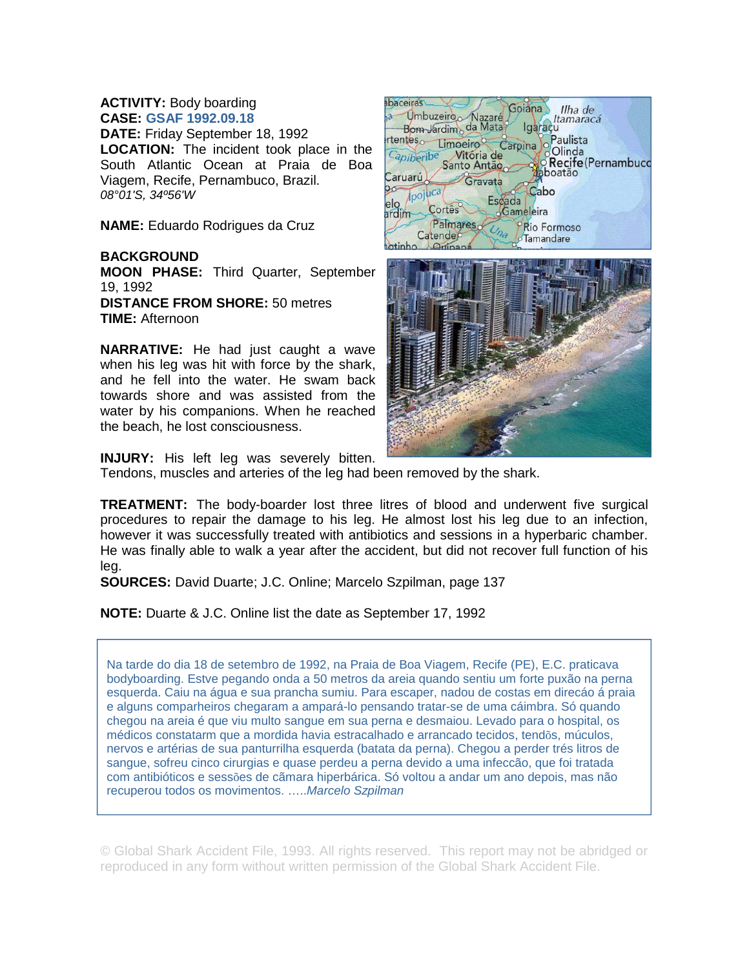## **ACTIVITY:** Body boarding **CASE: GSAF 1992.09.18**

**DATE:** Friday September 18, 1992 **LOCATION:** The incident took place in the South Atlantic Ocean at Praia de Boa Viagem, Recife, Pernambuco, Brazil. *08°01'S, 34º56'W*

**NAME:** Eduardo Rodrigues da Cruz

## **BACKGROUND**

**MOON PHASE:** Third Quarter, September 19, 1992 **DISTANCE FROM SHORE:** 50 metres **TIME:** Afternoon

**NARRATIVE:** He had just caught a wave when his leg was hit with force by the shark, and he fell into the water. He swam back towards shore and was assisted from the water by his companions. When he reached the beach, he lost consciousness.





**INJURY:** His left leg was severely bitten.

Tendons, muscles and arteries of the leg had been removed by the shark.

**TREATMENT:** The body-boarder lost three litres of blood and underwent five surgical procedures to repair the damage to his leg. He almost lost his leg due to an infection, however it was successfully treated with antibiotics and sessions in a hyperbaric chamber. He was finally able to walk a year after the accident, but did not recover full function of his leg.

**SOURCES:** David Duarte; J.C. Online; Marcelo Szpilman, page 137

**NOTE:** Duarte & J.C. Online list the date as September 17, 1992

Na tarde do dia 18 de setembro de 1992, na Praia de Boa Viagem, Recife (PE), E.C. praticava bodyboarding. Estve pegando onda a 50 metros da areia quando sentiu um forte puxão na perna esquerda. Caiu na água e sua prancha sumiu. Para escaper, nadou de costas em direcáo á praia e alguns comparheiros chegaram a ampará-lo pensando tratar-se de uma cáimbra. Só quando chegou na areia é que viu multo sangue em sua perna e desmaiou. Levado para o hospital, os médicos constatarm que a mordida havia estracalhado e arrancado tecidos, tendõs, múculos, nervos e artérias de sua panturrilha esquerda (batata da perna). Chegou a perder trés litros de sangue, sofreu cinco cirurgias e quase perdeu a perna devido a uma infeccão, que foi tratada com antibióticos e sessões de cãmara hiperbárica. Só voltou a andar um ano depois, mas não recuperou todos os movimentos. …..*Marcelo Szpilman*

© Global Shark Accident File, 1993. All rights reserved. This report may not be abridged or reproduced in any form without written permission of the Global Shark Accident File.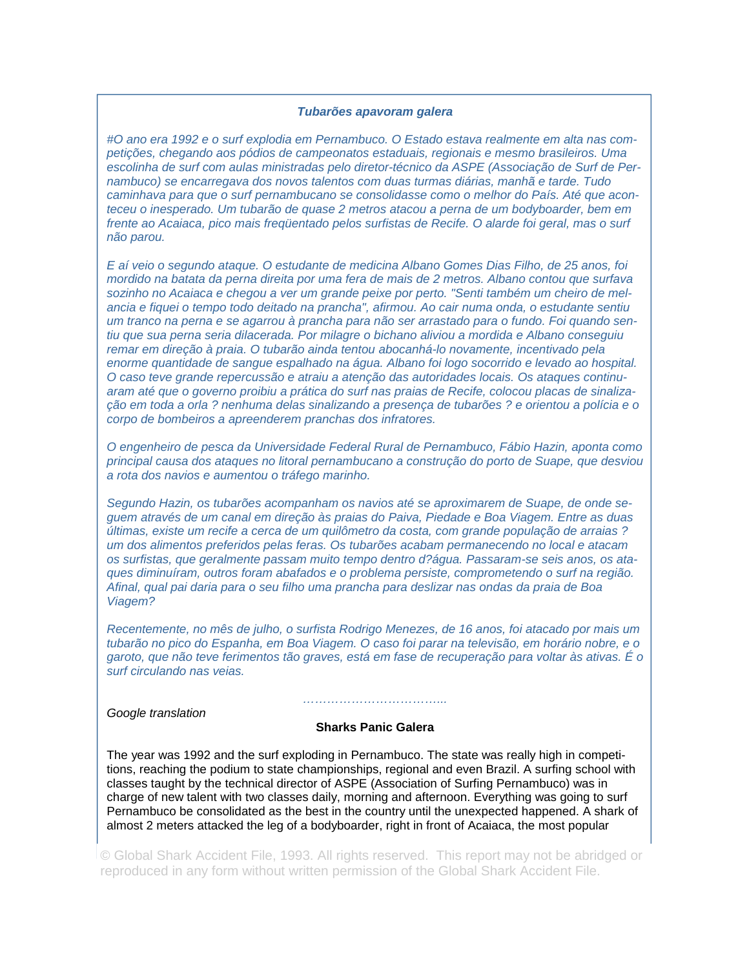## *Tubarões apavoram galera*

*#O ano era 1992 e o surf explodia em Pernambuco. O Estado estava realmente em alta nas competições, chegando aos pódios de campeonatos estaduais, regionais e mesmo brasileiros. Uma escolinha de surf com aulas ministradas pelo diretor-técnico da ASPE (Associação de Surf de Pernambuco) se encarregava dos novos talentos com duas turmas diárias, manhã e tarde. Tudo caminhava para que o surf pernambucano se consolidasse como o melhor do País. Até que aconteceu o inesperado. Um tubarão de quase 2 metros atacou a perna de um bodyboarder, bem em frente ao Acaiaca, pico mais freqüentado pelos surfistas de Recife. O alarde foi geral, mas o surf não parou.* 

*E aí veio o segundo ataque. O estudante de medicina Albano Gomes Dias Filho, de 25 anos, foi mordido na batata da perna direita por uma fera de mais de 2 metros. Albano contou que surfava sozinho no Acaiaca e chegou a ver um grande peixe por perto. "Senti também um cheiro de melancia e fiquei o tempo todo deitado na prancha", afirmou. Ao cair numa onda, o estudante sentiu um tranco na perna e se agarrou à prancha para não ser arrastado para o fundo. Foi quando sentiu que sua perna seria dilacerada. Por milagre o bichano aliviou a mordida e Albano conseguiu remar em direção à praia. O tubarão ainda tentou abocanhá-lo novamente, incentivado pela enorme quantidade de sangue espalhado na água. Albano foi logo socorrido e levado ao hospital. O caso teve grande repercussão e atraiu a atenção das autoridades locais. Os ataques continuaram até que o governo proibiu a prática do surf nas praias de Recife, colocou placas de sinalização em toda a orla ? nenhuma delas sinalizando a presença de tubarões ? e orientou a polícia e o corpo de bombeiros a apreenderem pranchas dos infratores.* 

*O engenheiro de pesca da Universidade Federal Rural de Pernambuco, Fábio Hazin, aponta como principal causa dos ataques no litoral pernambucano a construção do porto de Suape, que desviou a rota dos navios e aumentou o tráfego marinho.* 

*Segundo Hazin, os tubarões acompanham os navios até se aproximarem de Suape, de onde seguem através de um canal em direção às praias do Paiva, Piedade e Boa Viagem. Entre as duas últimas, existe um recife a cerca de um quilômetro da costa, com grande população de arraias ? um dos alimentos preferidos pelas feras. Os tubarões acabam permanecendo no local e atacam os surfistas, que geralmente passam muito tempo dentro d?água. Passaram-se seis anos, os ataques diminuíram, outros foram abafados e o problema persiste, comprometendo o surf na região. Afinal, qual pai daria para o seu filho uma prancha para deslizar nas ondas da praia de Boa Viagem?* 

*Recentemente, no mês de julho, o surfista Rodrigo Menezes, de 16 anos, foi atacado por mais um tubarão no pico do Espanha, em Boa Viagem. O caso foi parar na televisão, em horário nobre, e o garoto, que não teve ferimentos tão graves, está em fase de recuperação para voltar às ativas. É o surf circulando nas veias.* 

*Google translation* 

## **Sharks Panic Galera**

*……………………………...* 

The year was 1992 and the surf exploding in Pernambuco. The state was really high in competitions, reaching the podium to state championships, regional and even Brazil. A surfing school with classes taught by the technical director of ASPE (Association of Surfing Pernambuco) was in charge of new talent with two classes daily, morning and afternoon. Everything was going to surf Pernambuco be consolidated as the best in the country until the unexpected happened. A shark of almost 2 meters attacked the leg of a bodyboarder, right in front of Acaiaca, the most popular

© Global Shark Accident File, 1993. All rights reserved. This report may not be abridged or reproduced in any form without written permission of the Global Shark Accident File.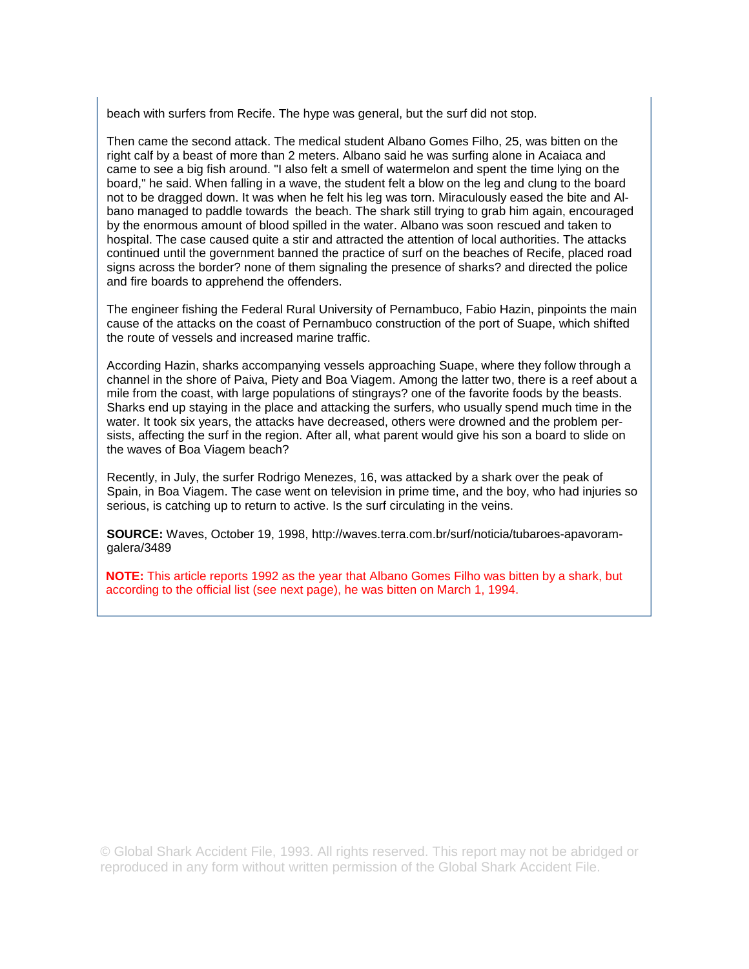beach with surfers from Recife. The hype was general, but the surf did not stop.

Then came the second attack. The medical student Albano Gomes Filho, 25, was bitten on the right calf by a beast of more than 2 meters. Albano said he was surfing alone in Acaiaca and came to see a big fish around. "I also felt a smell of watermelon and spent the time lying on the board," he said. When falling in a wave, the student felt a blow on the leg and clung to the board not to be dragged down. It was when he felt his leg was torn. Miraculously eased the bite and Albano managed to paddle towards the beach. The shark still trying to grab him again, encouraged by the enormous amount of blood spilled in the water. Albano was soon rescued and taken to hospital. The case caused quite a stir and attracted the attention of local authorities. The attacks continued until the government banned the practice of surf on the beaches of Recife, placed road signs across the border? none of them signaling the presence of sharks? and directed the police and fire boards to apprehend the offenders.

The engineer fishing the Federal Rural University of Pernambuco, Fabio Hazin, pinpoints the main cause of the attacks on the coast of Pernambuco construction of the port of Suape, which shifted the route of vessels and increased marine traffic.

According Hazin, sharks accompanying vessels approaching Suape, where they follow through a channel in the shore of Paiva, Piety and Boa Viagem. Among the latter two, there is a reef about a mile from the coast, with large populations of stingrays? one of the favorite foods by the beasts. Sharks end up staying in the place and attacking the surfers, who usually spend much time in the water. It took six years, the attacks have decreased, others were drowned and the problem persists, affecting the surf in the region. After all, what parent would give his son a board to slide on the waves of Boa Viagem beach?

Recently, in July, the surfer Rodrigo Menezes, 16, was attacked by a shark over the peak of Spain, in Boa Viagem. The case went on television in prime time, and the boy, who had injuries so serious, is catching up to return to active. Is the surf circulating in the veins.

**SOURCE:** Waves, October 19, 1998, http://waves.terra.com.br/surf/noticia/tubaroes-apavoramgalera/3489

**NOTE:** This article reports 1992 as the year that Albano Gomes Filho was bitten by a shark, but according to the official list (see next page), he was bitten on March 1, 1994.

© Global Shark Accident File, 1993. All rights reserved. This report may not be abridged or reproduced in any form without written permission of the Global Shark Accident File.